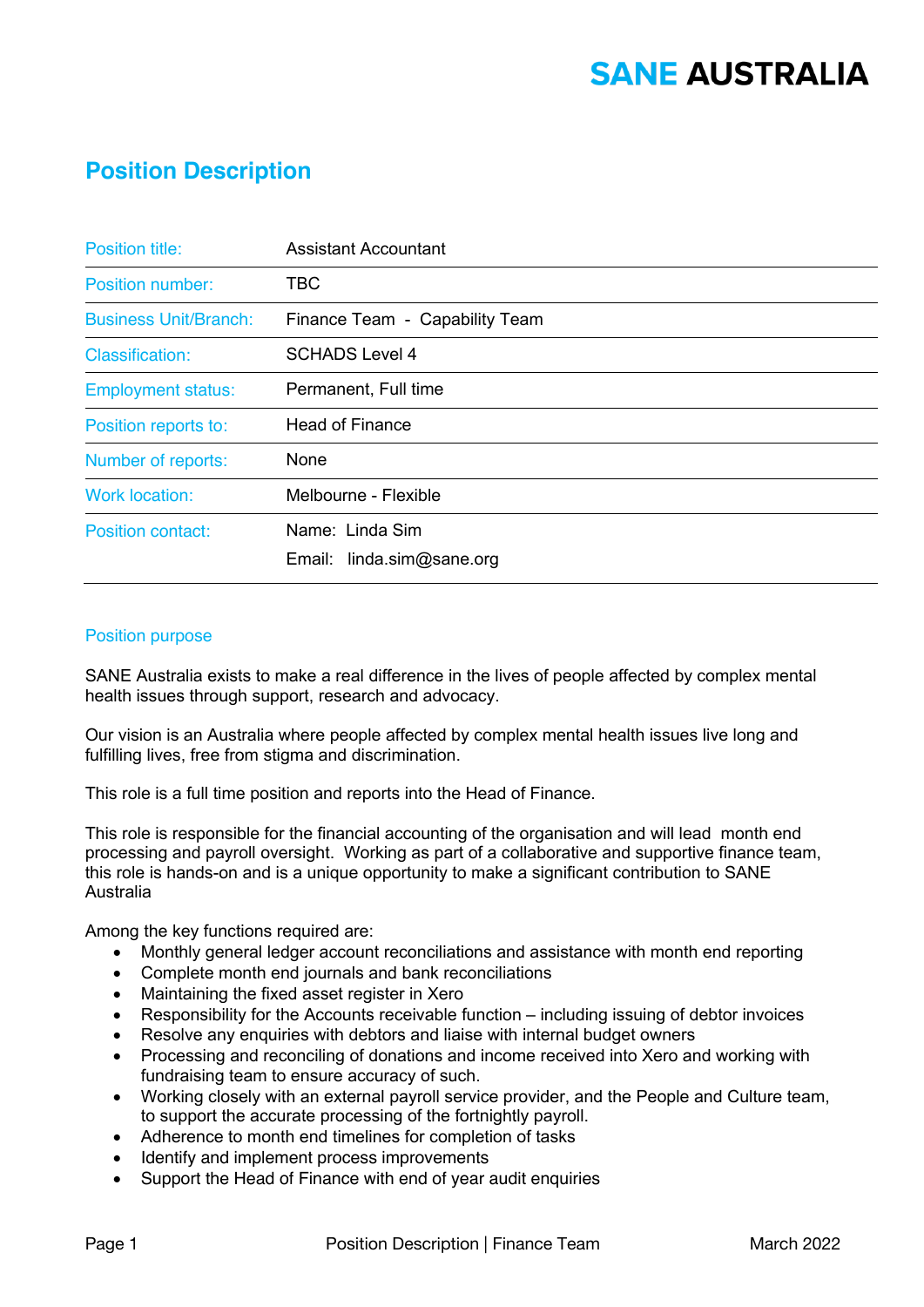# **SANE AUSTRALIA**

### **Position Description**

| <b>Position title:</b>       | <b>Assistant Accountant</b>    |
|------------------------------|--------------------------------|
| Position number:             | <b>TBC</b>                     |
| <b>Business Unit/Branch:</b> | Finance Team - Capability Team |
| <b>Classification:</b>       | <b>SCHADS Level 4</b>          |
| <b>Employment status:</b>    | Permanent, Full time           |
| Position reports to:         | <b>Head of Finance</b>         |
| Number of reports:           | None                           |
| <b>Work location:</b>        | Melbourne - Flexible           |
| <b>Position contact:</b>     | Name: Linda Sim                |
|                              | Email: linda.sim@sane.org      |

#### Position purpose

SANE Australia exists to make a real difference in the lives of people affected by complex mental health issues through support, research and advocacy.

Our vision is an Australia where people affected by complex mental health issues live long and fulfilling lives, free from stigma and discrimination.

This role is a full time position and reports into the Head of Finance.

This role is responsible for the financial accounting of the organisation and will lead month end processing and payroll oversight. Working as part of a collaborative and supportive finance team, this role is hands-on and is a unique opportunity to make a significant contribution to SANE Australia

Among the key functions required are:

- Monthly general ledger account reconciliations and assistance with month end reporting
- Complete month end journals and bank reconciliations
- Maintaining the fixed asset register in Xero
- Responsibility for the Accounts receivable function including issuing of debtor invoices
- Resolve any enquiries with debtors and liaise with internal budget owners
- Processing and reconciling of donations and income received into Xero and working with fundraising team to ensure accuracy of such.
- Working closely with an external payroll service provider, and the People and Culture team, to support the accurate processing of the fortnightly payroll.
- Adherence to month end timelines for completion of tasks
- Identify and implement process improvements
- Support the Head of Finance with end of year audit enquiries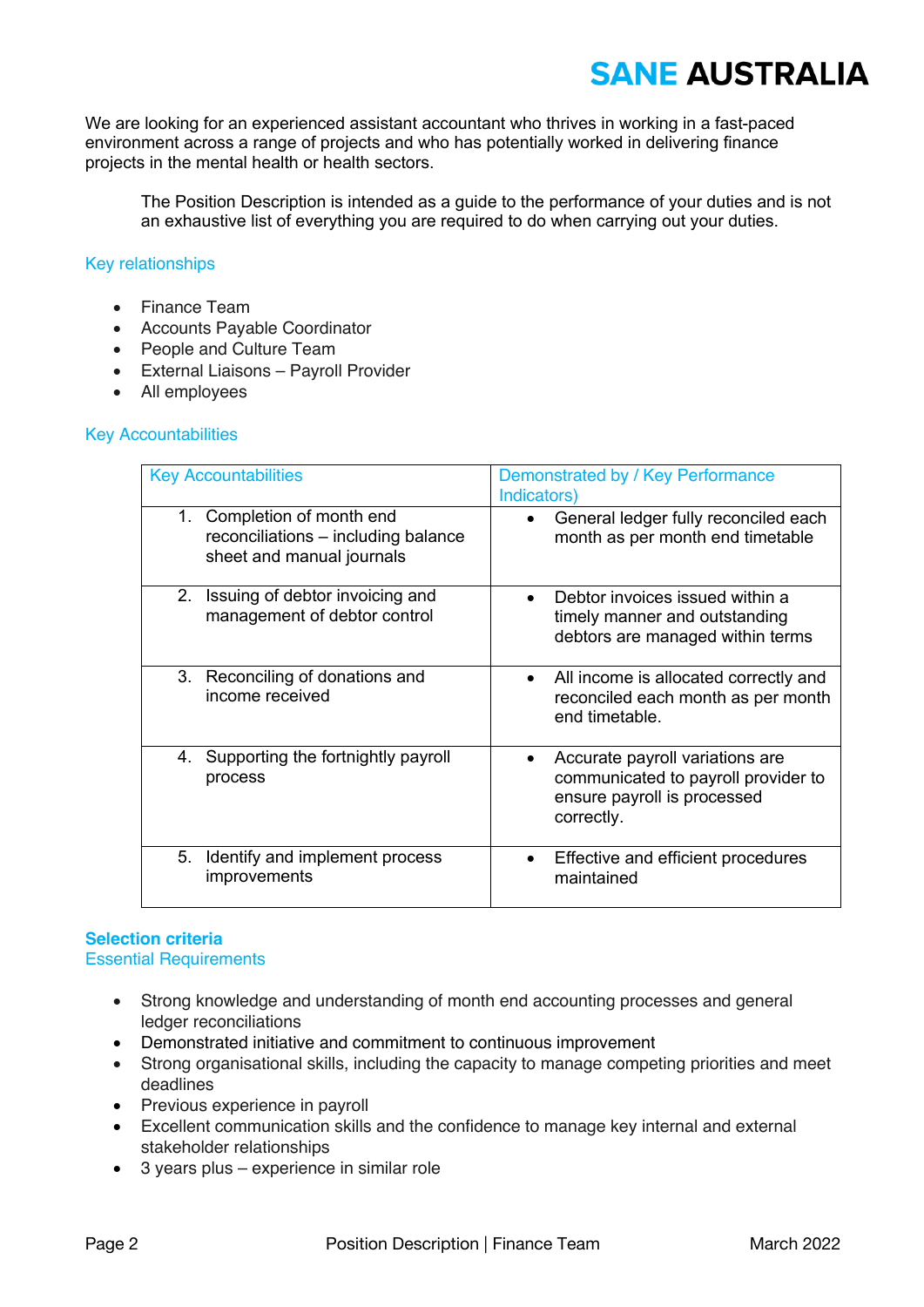# **SANE AUSTRALIA**

We are looking for an experienced assistant accountant who thrives in working in a fast-paced environment across a range of projects and who has potentially worked in delivering finance projects in the mental health or health sectors.

The Position Description is intended as a guide to the performance of your duties and is not an exhaustive list of everything you are required to do when carrying out your duties.

#### Key relationships

- Finance Team
- Accounts Payable Coordinator
- People and Culture Team
- External Liaisons Payroll Provider
- All employees

#### Key Accountabilities

| <b>Key Accountabilities</b>                                                                       | Demonstrated by / Key Performance<br>Indicators)                                                                    |
|---------------------------------------------------------------------------------------------------|---------------------------------------------------------------------------------------------------------------------|
| Completion of month end<br>1.<br>reconciliations – including balance<br>sheet and manual journals | General ledger fully reconciled each<br>month as per month end timetable                                            |
| Issuing of debtor invoicing and<br>2 <sub>1</sub><br>management of debtor control                 | Debtor invoices issued within a<br>timely manner and outstanding<br>debtors are managed within terms                |
| 3. Reconciling of donations and<br>income received                                                | All income is allocated correctly and<br>$\bullet$<br>reconciled each month as per month<br>end timetable.          |
| 4. Supporting the fortnightly payroll<br>process                                                  | Accurate payroll variations are<br>communicated to payroll provider to<br>ensure payroll is processed<br>correctly. |
| 5.<br>Identify and implement process<br>improvements                                              | Effective and efficient procedures<br>maintained                                                                    |

### **Selection criteria**

Essential Requirements

- Strong knowledge and understanding of month end accounting processes and general ledger reconciliations
- Demonstrated initiative and commitment to continuous improvement
- Strong organisational skills, including the capacity to manage competing priorities and meet deadlines
- Previous experience in payroll
- Excellent communication skills and the confidence to manage key internal and external stakeholder relationships
- 3 years plus experience in similar role